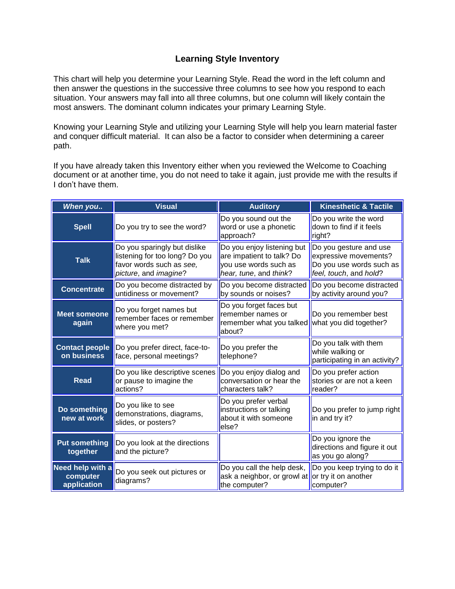#### **Learning Style Inventory**

This chart will help you determine your Learning Style. Read the word in the left column and then answer the questions in the successive three columns to see how you respond to each situation. Your answers may fall into all three columns, but one column will likely contain the most answers. The dominant column indicates your primary Learning Style.

Knowing your Learning Style and utilizing your Learning Style will help you learn material faster and conquer difficult material. It can also be a factor to consider when determining a career path.

If you have already taken this Inventory either when you reviewed the Welcome to Coaching document or at another time, you do not need to take it again, just provide me with the results if I don't have them.

| When you                                    | <b>Visual</b>                                                                                                       | <b>Auditory</b>                                                                                            | <b>Kinesthetic &amp; Tactile</b>                                                                      |
|---------------------------------------------|---------------------------------------------------------------------------------------------------------------------|------------------------------------------------------------------------------------------------------------|-------------------------------------------------------------------------------------------------------|
| <b>Spell</b>                                | Do you try to see the word?                                                                                         | Do you sound out the<br>word or use a phonetic<br>approach?                                                | Do you write the word<br>down to find if it feels<br>right?                                           |
| <b>Talk</b>                                 | Do you sparingly but dislike<br>listening for too long? Do you<br>favor words such as see,<br>picture, and imagine? | Do you enjoy listening but<br>are impatient to talk? Do<br>you use words such as<br>hear, tune, and think? | Do you gesture and use<br>expressive movements?<br>Do you use words such as<br>feel, touch, and hold? |
| <b>Concentrate</b>                          | Do you become distracted by<br>untidiness or movement?                                                              | Do you become distracted<br>by sounds or noises?                                                           | Do you become distracted<br>by activity around you?                                                   |
| <b>Meet someone</b><br>again                | Do you forget names but<br>remember faces or remember<br>where you met?                                             | Do you forget faces but<br>remember names or<br>remember what you talked<br>about?                         | Do you remember best<br>what you did together?                                                        |
| <b>Contact people</b><br>on business        | Do you prefer direct, face-to-<br>face, personal meetings?                                                          | Do you prefer the<br>telephone?                                                                            | Do you talk with them<br>while walking or<br>participating in an activity?                            |
| <b>Read</b>                                 | Do you like descriptive scenes<br>or pause to imagine the<br>actions?                                               | Do you enjoy dialog and<br>conversation or hear the<br>characters talk?                                    | Do you prefer action<br>stories or are not a keen<br>reader?                                          |
| Do something<br>new at work                 | Do you like to see<br>demonstrations, diagrams,<br>slides, or posters?                                              | Do you prefer verbal<br>instructions or talking<br>about it with someone<br>else?                          | Do you prefer to jump right<br>in and try it?                                                         |
| <b>Put something</b><br>together            | Do you look at the directions<br>and the picture?                                                                   |                                                                                                            | Do you ignore the<br>directions and figure it out<br>as you go along?                                 |
| Need help with a<br>computer<br>application | Do you seek out pictures or<br>diagrams?                                                                            | Do you call the help desk,<br>ask a neighbor, or growl at<br>the computer?                                 | Do you keep trying to do it<br>or try it on another<br>computer?                                      |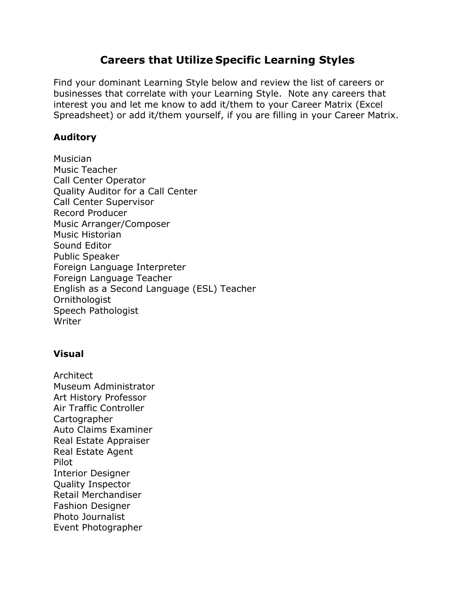# **Careers that Utilize Specific Learning Styles**

Find your dominant Learning Style below and review the list of careers or businesses that correlate with your Learning Style. Note any careers that interest you and let me know to add it/them to your Career Matrix (Excel Spreadsheet) or add it/them yourself, if you are filling in your Career Matrix.

## **Auditory**

Musician Music Teacher Call Center Operator Quality Auditor for a Call Center Call Center Supervisor Record Producer Music Arranger/Composer Music Historian Sound Editor Public Speaker Foreign Language Interpreter Foreign Language Teacher English as a Second Language (ESL) Teacher **Ornithologist** Speech Pathologist Writer

## **Visual**

Architect Museum Administrator Art History Professor Air Traffic Controller **Cartographer** Auto Claims Examiner Real Estate Appraiser Real Estate Agent Pilot Interior Designer Quality Inspector Retail Merchandiser Fashion Designer Photo Journalist Event Photographer